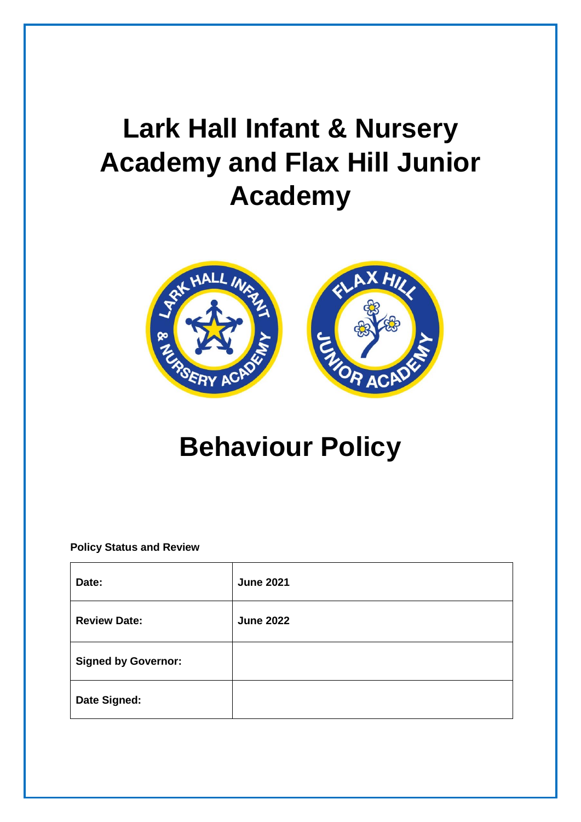# **Lark Hall Infant & Nursery Academy and Flax Hill Junior Academy**



# **Behaviour Policy**

# **Policy Status and Review**

| Date:                      | <b>June 2021</b> |
|----------------------------|------------------|
| <b>Review Date:</b>        | <b>June 2022</b> |
| <b>Signed by Governor:</b> |                  |
| Date Signed:               |                  |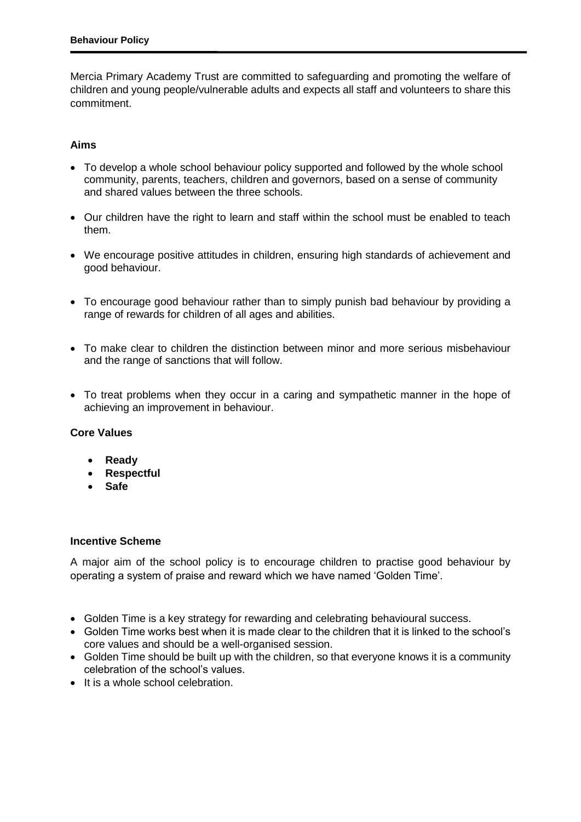Mercia Primary Academy Trust are committed to safeguarding and promoting the welfare of children and young people/vulnerable adults and expects all staff and volunteers to share this commitment.

# **Aims**

- To develop a whole school behaviour policy supported and followed by the whole school community, parents, teachers, children and governors, based on a sense of community and shared values between the three schools.
- Our children have the right to learn and staff within the school must be enabled to teach them.
- We encourage positive attitudes in children, ensuring high standards of achievement and good behaviour.
- To encourage good behaviour rather than to simply punish bad behaviour by providing a range of rewards for children of all ages and abilities.
- To make clear to children the distinction between minor and more serious misbehaviour and the range of sanctions that will follow.
- To treat problems when they occur in a caring and sympathetic manner in the hope of achieving an improvement in behaviour.

# **Core Values**

- Ready
- **Respectful**
- **Safe**

#### **Incentive Scheme**

A major aim of the school policy is to encourage children to practise good behaviour by operating a system of praise and reward which we have named 'Golden Time'.

- Golden Time is a key strategy for rewarding and celebrating behavioural success.
- Golden Time works best when it is made clear to the children that it is linked to the school's core values and should be a well-organised session.
- Golden Time should be built up with the children, so that everyone knows it is a community celebration of the school's values.
- It is a whole school celebration.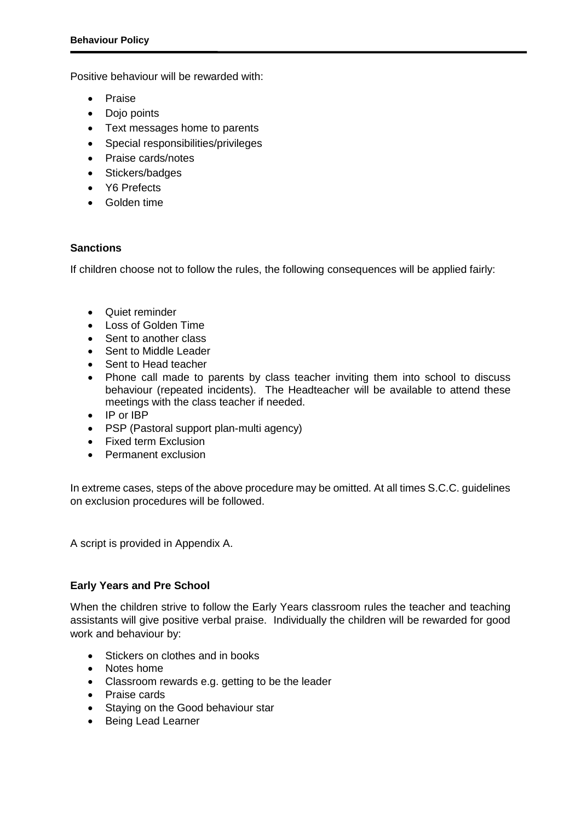Positive behaviour will be rewarded with:

- Praise
- Dojo points
- Text messages home to parents
- Special responsibilities/privileges
- Praise cards/notes
- Stickers/badges
- Y6 Prefects
- **•** Golden time

### **Sanctions**

If children choose not to follow the rules, the following consequences will be applied fairly:

- Quiet reminder
- Loss of Golden Time
- Sent to another class
- Sent to Middle Leader
- Sent to Head teacher
- Phone call made to parents by class teacher inviting them into school to discuss behaviour (repeated incidents). The Headteacher will be available to attend these meetings with the class teacher if needed.
- IP or IBP
- PSP (Pastoral support plan-multi agency)
- Fixed term Exclusion
- Permanent exclusion

In extreme cases, steps of the above procedure may be omitted. At all times S.C.C. guidelines on exclusion procedures will be followed.

A script is provided in Appendix A.

#### **Early Years and Pre School**

When the children strive to follow the Early Years classroom rules the teacher and teaching assistants will give positive verbal praise. Individually the children will be rewarded for good work and behaviour by:

- Stickers on clothes and in books
- Notes home
- Classroom rewards e.g. getting to be the leader
- Praise cards
- Staying on the Good behaviour star
- Being Lead Learner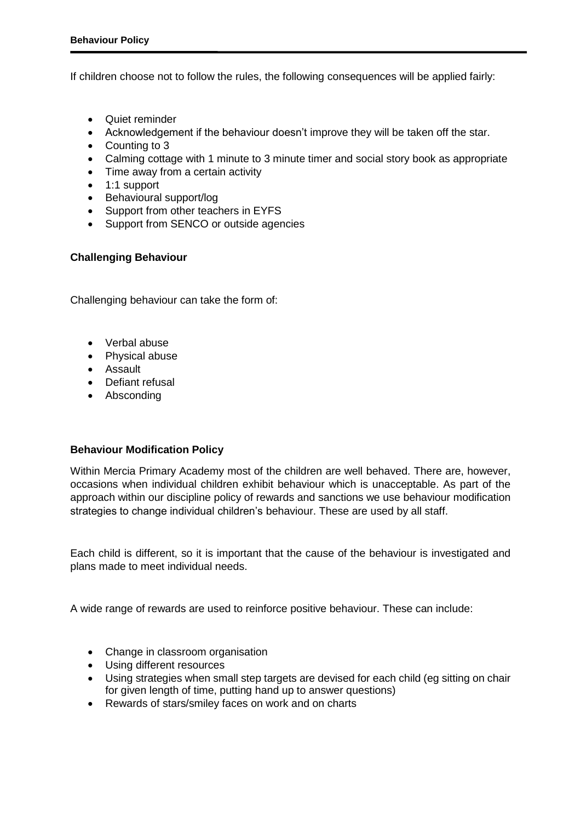If children choose not to follow the rules, the following consequences will be applied fairly:

- Quiet reminder
- Acknowledgement if the behaviour doesn't improve they will be taken off the star.
- Counting to 3
- Calming cottage with 1 minute to 3 minute timer and social story book as appropriate
- Time away from a certain activity
- 1:1 support
- Behavioural support/log
- Support from other teachers in EYFS
- Support from SENCO or outside agencies

#### **Challenging Behaviour**

Challenging behaviour can take the form of:

- Verbal abuse
- Physical abuse
- Assault
- Defiant refusal
- Absconding

# **Behaviour Modification Policy**

Within Mercia Primary Academy most of the children are well behaved. There are, however, occasions when individual children exhibit behaviour which is unacceptable. As part of the approach within our discipline policy of rewards and sanctions we use behaviour modification strategies to change individual children's behaviour. These are used by all staff.

Each child is different, so it is important that the cause of the behaviour is investigated and plans made to meet individual needs.

A wide range of rewards are used to reinforce positive behaviour. These can include:

- Change in classroom organisation
- Using different resources
- Using strategies when small step targets are devised for each child (eg sitting on chair for given length of time, putting hand up to answer questions)
- Rewards of stars/smiley faces on work and on charts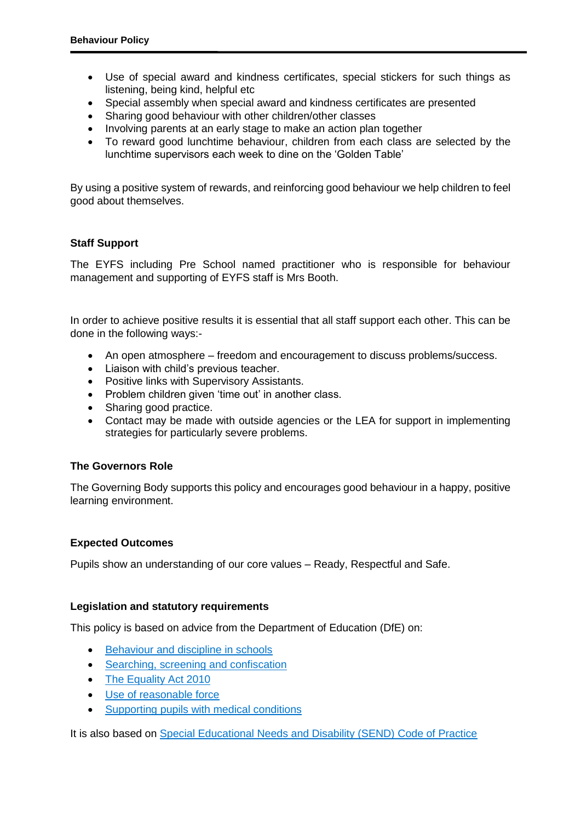- Use of special award and kindness certificates, special stickers for such things as listening, being kind, helpful etc
- Special assembly when special award and kindness certificates are presented
- Sharing good behaviour with other children/other classes
- Involving parents at an early stage to make an action plan together
- To reward good lunchtime behaviour, children from each class are selected by the lunchtime supervisors each week to dine on the 'Golden Table'

By using a positive system of rewards, and reinforcing good behaviour we help children to feel good about themselves.

#### **Staff Support**

The EYFS including Pre School named practitioner who is responsible for behaviour management and supporting of EYFS staff is Mrs Booth.

In order to achieve positive results it is essential that all staff support each other. This can be done in the following ways:-

- An open atmosphere freedom and encouragement to discuss problems/success.
- Liaison with child's previous teacher.
- Positive links with Supervisory Assistants.
- Problem children given 'time out' in another class.
- Sharing good practice.
- Contact may be made with outside agencies or the LEA for support in implementing strategies for particularly severe problems.

#### **The Governors Role**

The Governing Body supports this policy and encourages good behaviour in a happy, positive learning environment.

#### **Expected Outcomes**

Pupils show an understanding of our core values – Ready, Respectful and Safe.

#### **Legislation and statutory requirements**

This policy is based on advice from the Department of Education (DfE) on:

- [Behaviour and discipline in schools](https://www.gov.uk/government/publications/behaviour-and-discipline-in-schools)
- [Searching, screening and confiscation](https://www.gov.uk/government/publications/searching-screening-and-confiscation)
- [The Equality Act 2010](https://www.gov.uk/government/publications/equality-act-2010-advice-for-schools)
- [Use of reasonable force](https://www.gov.uk/government/publications/use-of-reasonable-force-in-schools)
- [Supporting pupils with medical](https://www.gov.uk/government/publications/supporting-pupils-at-school-with-medical-conditions--3) conditions

It is also based on [Special Educational Needs and Disability \(SEND\) Code of Practice](https://www.gov.uk/government/publications/send-code-of-practice-0-to-25)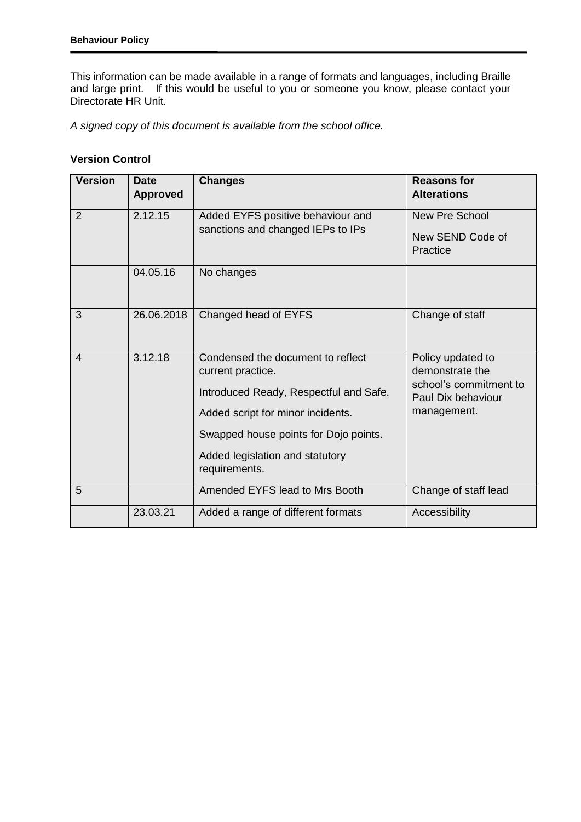This information can be made available in a range of formats and languages, including Braille and large print. If this would be useful to you or someone you know, please contact your Directorate HR Unit.

*A signed copy of this document is available from the school office.*

# **Version Control**

| <b>Version</b> | <b>Date</b><br><b>Approved</b> | <b>Changes</b>                                                                                                                                                                                                                     | <b>Reasons for</b><br><b>Alterations</b>                                                            |
|----------------|--------------------------------|------------------------------------------------------------------------------------------------------------------------------------------------------------------------------------------------------------------------------------|-----------------------------------------------------------------------------------------------------|
| $\overline{2}$ | 2.12.15                        | Added EYFS positive behaviour and<br>sanctions and changed IEPs to IPs                                                                                                                                                             | New Pre School<br>New SEND Code of<br>Practice                                                      |
|                | 04.05.16                       | No changes                                                                                                                                                                                                                         |                                                                                                     |
| 3              | 26.06.2018                     | Changed head of EYFS                                                                                                                                                                                                               | Change of staff                                                                                     |
| $\overline{4}$ | 3.12.18                        | Condensed the document to reflect<br>current practice.<br>Introduced Ready, Respectful and Safe.<br>Added script for minor incidents.<br>Swapped house points for Dojo points.<br>Added legislation and statutory<br>requirements. | Policy updated to<br>demonstrate the<br>school's commitment to<br>Paul Dix behaviour<br>management. |
| 5              |                                | Amended EYFS lead to Mrs Booth                                                                                                                                                                                                     | Change of staff lead                                                                                |
|                | 23.03.21                       | Added a range of different formats                                                                                                                                                                                                 | Accessibility                                                                                       |